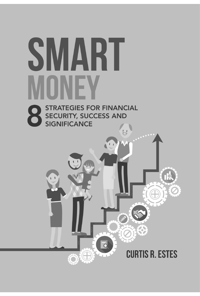# SMART NFV **STRATEGIES FOR FINANCIAL** SINATE CHESTICIES AND

**CURTIS R. ESTES** 

 $\mathbf{L}$ 

 $\overline{d}$ 

合同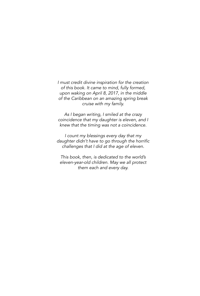*I must credit divine inspiration for the creation of this book. It came to mind, fully formed, upon waking on April 8, 2017, in the middle of the Caribbean on an amazing spring break cruise with my family.* 

*As I began writing, I smiled at the crazy coincidence that my daughter is eleven, and I knew that the timing was not a coincidence.*

*I count my blessings every day that my*  daughter didn't have to go through the horrific *challenges that I did at the age of eleven.* 

*This book, then, is dedicated to the world's eleven-year-old children. May we all protect them each and every day.*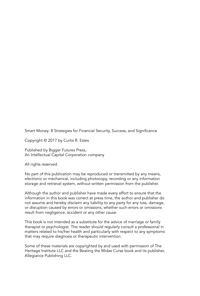Smart Money: 8 Strategies for Financial Security, Success, and Significance

Copyright © 2017 by Curtis R. Estes

Published by Bigger Futures Press, An Intellectual Capital Corporation company

All rights reserved.

No part of this publication may be reproduced or transmitted by any means, electronic or mechanical, including photocopy, recording or any information storage and retrieval system, without written permission from the publisher.

Although the author and publisher have made every effort to ensure that the information in this book was correct at press time, the author and publisher do not assume and hereby disclaim any liability to any party for any loss, damage, or disruption caused by errors or omissions, whether such errors or omissions result from negligence, accident or any other cause.

This book is not intended as a substitute for the advice of marriage or family therapist or psychologist. The reader should regularly consult a professional in matters related to his/her health and particularly with respect to any symptoms that may require diagnosis or therapeutic intervention.

Some of these materials are copyrighted by and used with permission of The Heritage Institute LLC and the Beating the Midas Curse book and its publisher, Allegiance Publishing LLC.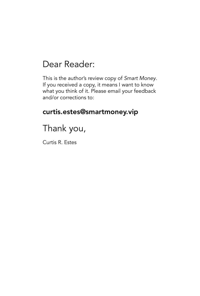# Dear Reader:

This is the author's review copy of *Smart Money*. If you received a copy, it means I want to know what you think of it. Please email your feedback and/or corrections to:

## curtis.estes@smartmoney.vip

# Thank you,

Curtis R. Estes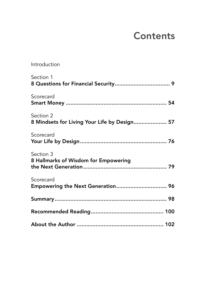# **Contents**

| Introduction                                              |
|-----------------------------------------------------------|
| Section 1                                                 |
| Scorecard                                                 |
| Section 2<br>8 Mindsets for Living Your Life by Design 57 |
| Scorecard                                                 |
| Section 3<br>8 Hallmarks of Wisdom for Empowering         |
| Scorecard<br>Empowering the Next Generation 96            |
|                                                           |
|                                                           |
|                                                           |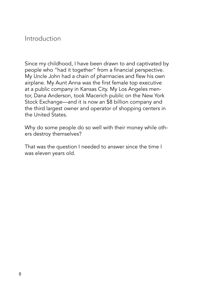### Introduction

Since my childhood, I have been drawn to and captivated by people who "had it together" from a financial perspective. My Uncle John had a chain of pharmacies and flew his own airplane. My Aunt Anna was the first female top executive at a public company in Kansas City. My Los Angeles mentor, Dana Anderson, took Macerich public on the New York Stock Exchange—and it is now an \$8 billion company and the third largest owner and operator of shopping centers in the United States.

Why do some people do so well with their money while others destroy themselves?

That was the question I needed to answer since the time I was eleven years old.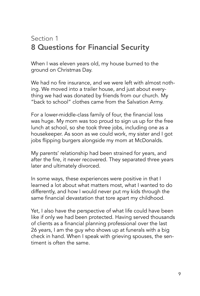# Section 1 8 Questions for Financial Security

When I was eleven years old, my house burned to the ground on Christmas Day.

We had no fire insurance, and we were left with almost nothing. We moved into a trailer house, and just about everything we had was donated by friends from our church. My "back to school" clothes came from the Salvation Army.

For a lower-middle-class family of four, the financial loss was huge. My mom was too proud to sign us up for the free lunch at school, so she took three jobs, including one as a housekeeper. As soon as we could work, my sister and I got jobs flipping burgers alongside my mom at McDonalds.

My parents' relationship had been strained for years, and after the fire, it never recovered. They separated three years later and ultimately divorced.

In some ways, these experiences were positive in that I learned a lot about what matters most, what I wanted to do differently, and how I would never put my kids through the same financial devastation that tore apart my childhood.

Yet, I also have the perspective of what life could have been like if only we had been protected. Having served thousands of clients as a financial planning professional over the last 26 years, I am the guy who shows up at funerals with a big check in hand. When I speak with grieving spouses, the sentiment is often the same.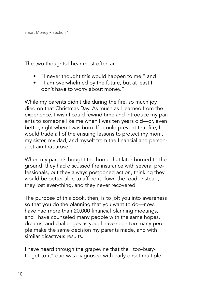The two thoughts I hear most often are:

- "I never thought this would happen to me," and
- "I am overwhelmed by the future, but at least I don't have to worry about money."

While my parents didn't die during the fire, so much joy died on that Christmas Day. As much as I learned from the experience, I wish I could rewind time and introduce my parents to someone like me when I was ten years old—or, even better, right when I was born. If I could prevent that fire, I would trade all of the ensuing lessons to protect my mom, my sister, my dad, and myself from the financial and personal strain that arose.

When my parents bought the home that later burned to the ground, they had discussed fire insurance with several professionals, but they always postponed action, thinking they would be better able to afford it down the road. Instead, they lost everything, and they never recovered.

The purpose of this book, then, is to jolt you into awareness so that you do the planning that you want to do—now. I have had more than 20,000 financial planning meetings, and I have counseled many people with the same hopes, dreams, and challenges as you. I have seen too many people make the same decision my parents made, and with similar disastrous results.

I have heard through the grapevine that the "too-busyto-get-to-it" dad was diagnosed with early onset multiple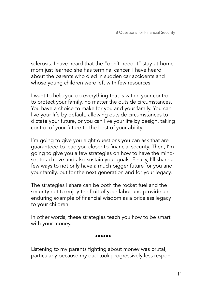sclerosis. I have heard that the "don't-need-it" stay-at-home mom just learned she has terminal cancer. I have heard about the parents who died in sudden car accidents and whose young children were left with few resources.

I want to help you do everything that is within your control to protect your family, no matter the outside circumstances. You have a choice to make for you and your family. You can live your life by default, allowing outside circumstances to dictate your future, or you can live your life by design, taking control of your future to the best of your ability.

I'm going to give you eight questions you can ask that are guaranteed to lead you closer to financial security. Then, I'm going to give you a few strategies on how to have the mindset to achieve and also sustain your goals. Finally, I'll share a few ways to not only have a much bigger future for you and your family, but for the next generation and for your legacy.

The strategies I share can be both the rocket fuel and the security net to enjoy the fruit of your labor and provide an enduring example of financial wisdom as a priceless legacy to your children.

In other words, these strategies teach you how to be smart with your money.

••••••

Listening to my parents fighting about money was brutal, particularly because my dad took progressively less respon-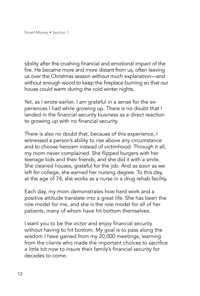sibility after the crushing financial and emotional impact of the fire. He became more and more distant from us, often leaving us over the Christmas season without much explanation—and without enough wood to keep the fireplace burning so that our house could warm during the cold winter nights.

Yet, as I wrote earlier, I am grateful in a sense for the experiences I had while growing up. There is no doubt that I landed in the financial security business as a direct reaction to growing up with no financial security.

There is also no doubt that, because of this experience, I witnessed a person's ability to rise above any circumstance and to choose heroism instead of victimhood. Through it all, my mom never complained. She flipped burgers with her teenage kids and their friends, and she did it with a smile. She cleaned houses, grateful for the job. And as soon as we left for college, she earned her nursing degree. To this day, at the age of 74, she works as a nurse in a drug rehab facility.

Each day, my mom demonstrates how hard work and a positive attitude translate into a great life. She has been the role model for me, and she is the role model for all of her patients, many of whom have hit bottom themselves.

I want you to be the victor and enjoy financial security without having to hit bottom. My goal is to pass along the wisdom I have gained from my 20,000 meetings, learning from the clients who made the important choices to sacrifice a little bit now to insure their family's financial security for decades to come.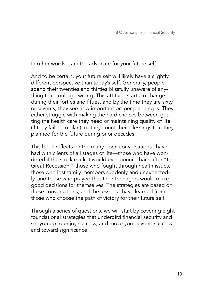In other words, I am the advocate for your future self.

And to be certain, your future self will likely have a slightly different perspective than today's self. Generally, people spend their twenties and thirties blissfully unaware of anything that could go wrong. This attitude starts to change during their forties and fifties, and by the time they are sixty or seventy, they see how important proper planning is. They either struggle with making the hard choices between getting the health care they need or maintaining quality of life (if they failed to plan), or they count their blessings that they planned for the future during prior decades.

This book reflects on the many open conversations I have had with clients of all stages of life—those who have wondered if the stock market would ever bounce back after "the Great Recession," those who fought through health issues, those who lost family members suddenly and unexpectedly, and those who prayed that their teenagers would make good decisions for themselves. The strategies are based on these conversations, and the lessons I have learned from those who choose the path of victory for their future self.

Through a series of questions, we will start by covering eight foundational strategies that undergird financial security and set you up to enjoy success, and move you beyond success and toward significance.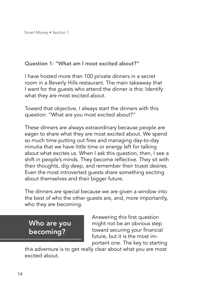#### Question 1: "What am I most excited about?"

I have hosted more than 100 private dinners in a secret room in a Beverly Hills restaurant. The main takeaway that I want for the guests who attend the dinner is this: Identify what they are most excited about.

Toward that objective, I always start the dinners with this question: "What are you most excited about?"

These dinners are always extraordinary because people are eager to share what they are most excited about. We spend so much time putting out fires and managing day-to-day minutia that we have little time or energy left for talking about what excites us. When I ask this question, then, I see a shift in people's minds. They become reflective. They sit with their thoughts, dig deep, and remember their truest desires. Even the most introverted guests share something exciting about themselves and their bigger future.

The dinners are special because we are given a window into the best of who the other guests are, and, more importantly, who they are becoming.

## Who are you becoming?

Answering this first question might not be an obvious step toward securing your financial future, but it is the most important one. The key to starting

this adventure is to get really clear about what you are most excited about.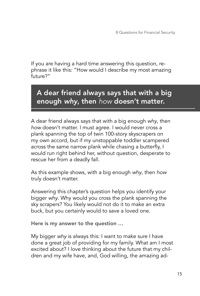If you are having a hard time answering this question, rephrase it like this: "How would I describe my most amazing future?"

# A dear friend always says that with a big enough *why*, then *how* doesn't matter.

A dear friend always says that with a big enough *why*, then *how* doesn't matter. I must agree. I would never cross a plank spanning the top of twin 100-story skyscrapers on my own accord, but if my unstoppable toddler scampered across the same narrow plank while chasing a butterfly, I would run right behind her, without question, desperate to rescue her from a deadly fall.

As this example shows, with a big enough *why*, then *how* truly doesn't matter.

Answering this chapter's question helps you identify your bigger *why*. Why would you cross the plank spanning the sky scrapers? You likely would not do it to make an extra buck, but you certainly would to save a loved one.

Here is my answer to the question …

My bigger *why* is always this: I want to make sure I have done a great job of providing for my family. What am I most excited about? I love thinking about the future that my children and my wife have, and, God willing, the amazing ad-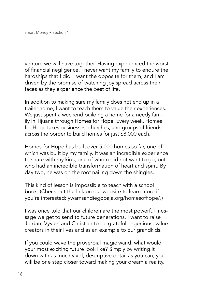venture we will have together. Having experienced the worst of financial negligence, I never want my family to endure the hardships that I did. I want the opposite for them, and I am driven by the promise of watching joy spread across their faces as they experience the best of life.

In addition to making sure my family does not end up in a trailer home, I want to teach them to value their experiences. We just spent a weekend building a home for a needy family in Tijuana through Homes for Hope. Every week, Homes for Hope takes businesses, churches, and groups of friends across the border to build homes for just \$8,000 each.

Homes for Hope has built over 5,000 homes so far, one of which was built by my family. It was an incredible experience to share with my kids, one of whom did not want to go, but who had an incredible transformation of heart and spirit. By day two, he was on the roof nailing down the shingles.

This kind of lesson is impossible to teach with a school book. (Check out the link on our website to learn more if you're interested: ywamsandiegobaja.org/homesofhope/.)

I was once told that our children are the most powerful message we get to send to future generations. I want to raise Jordan, Vyvien and Christian to be grateful, ingenious, value creators in their lives and as an example to our grandkids.

If you could wave the proverbial magic wand, what would your most exciting future look like? Simply by writing it down with as much vivid, descriptive detail as you can, you will be one step closer toward making your dream a reality.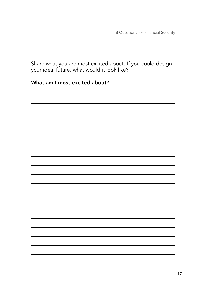8 Questions for Financial Security

Share what you are most excited about. If you could design your ideal future, what would it look like?

#### What am I most excited about?

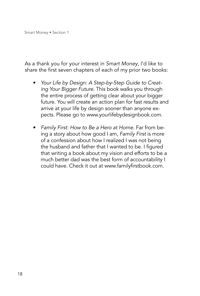As a thank you for your interest in *Smart Money*, I'd like to share the first seven chapters of each of my prior two books:

- *• Your Life by Design: A Step-by-Step Guide to Creating Your Bigger Future.* This book walks you through the entire process of getting clear about your bigger future. You will create an action plan for fast results and arrive at your life by design sooner than anyone expects. Please go to www.yourlifebydesignbook.com.
- *• Family First: How to Be a Hero at Home.* Far from being a story about how good I am, *Family First* is more of a confession about how I realized I was not being the husband and father that I wanted to be. I figured that writing a book about my vision and efforts to be a much better dad was the best form of accountability I could have. Check it out at www.familyfirstbook.com.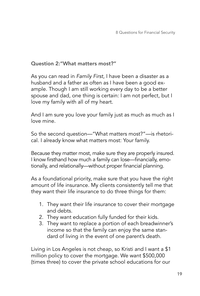#### Question 2:"What matters most?"

As you can read in *Family First*, I have been a disaster as a husband and a father as often as I have been a good example. Though I am still working every day to be a better spouse and dad, one thing is certain: I am not perfect, but I love my family with all of my heart.

And I am sure you love your family just as much as much as I love mine.

So the second question—"What matters most?"—is rhetorical. I already know what matters most: Your family.

Because they matter most, make sure they are properly insured. I know firsthand how much a family can lose—financially, emotionally, and relationally—without proper financial planning.

As a foundational priority, make sure that you have the right amount of life insurance. My clients consistently tell me that they want their life insurance to do three things for them:

- 1. They want their life insurance to cover their mortgage and debts.
- 2. They want education fully funded for their kids.
- 3. They want to replace a portion of each breadwinner's income so that the family can enjoy the same standard of living in the event of one parent's death.

Living in Los Angeles is not cheap, so Kristi and I want a \$1 million policy to cover the mortgage. We want \$500,000 (times three) to cover the private school educations for our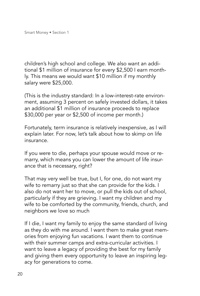children's high school and college. We also want an additional \$1 million of insurance for every \$2,500 I earn monthly. This means we would want \$10 million if my monthly salary were \$25,000.

(This is the industry standard: In a low-interest-rate environment, assuming 3 percent on safely invested dollars, it takes an additional \$1 million of insurance proceeds to replace \$30,000 per year or \$2,500 of income per month.)

Fortunately, term insurance is relatively inexpensive, as I will explain later. For now, let's talk about how to skimp on life insurance.

If you were to die, perhaps your spouse would move or remarry, which means you can lower the amount of life insurance that is necessary, right?

That may very well be true, but I, for one, do not want my wife to remarry just so that she can provide for the kids. I also do not want her to move, or pull the kids out of school, particularly if they are grieving. I want my children and my wife to be comforted by the community, friends, church, and neighbors we love so much

If I die, I want my family to enjoy the same standard of living as they do with me around. I want them to make great memories from enjoying fun vacations. I want them to continue with their summer camps and extra-curricular activities. I want to leave a legacy of providing the best for my family and giving them every opportunity to leave an inspiring legacy for generations to come.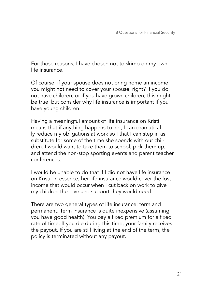For those reasons, I have chosen not to skimp on my own life insurance.

Of course, if your spouse does not bring home an income, you might not need to cover your spouse, right? If you do not have children, or if you have grown children, this might be true, but consider why life insurance is important if you have young children.

Having a meaningful amount of life insurance on Kristi means that if anything happens to her, I can dramatically reduce my obligations at work so I that I can step in as substitute for some of the time she spends with our children. I would want to take them to school, pick them up, and attend the non-stop sporting events and parent teacher conferences.

I would be unable to do that if I did not have life insurance on Kristi. In essence, her life insurance would cover the lost income that would occur when I cut back on work to give my children the love and support they would need.

There are two general types of life insurance: term and permanent. Term insurance is quite inexpensive (assuming you have good health). You pay a fixed premium for a fixed rate of time. If you die during this time, your family receives the payout. If you are still living at the end of the term, the policy is terminated without any payout.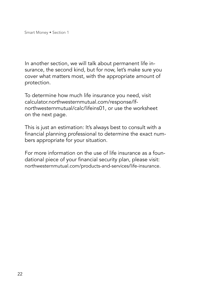In another section, we will talk about permanent life insurance, the second kind, but for now, let's make sure you cover what matters most, with the appropriate amount of protection.

To determine how much life insurance you need, visit calculator.northwesternmutual.com/response/lfnorthwesternmutual/calc/lifeins01, or use the worksheet on the next page.

This is just an estimation: It's always best to consult with a financial planning professional to determine the exact numbers appropriate for your situation.

For more information on the use of life insurance as a foundational piece of your financial security plan, please visit: northwesternmutual.com/products-and-services/life-insurance.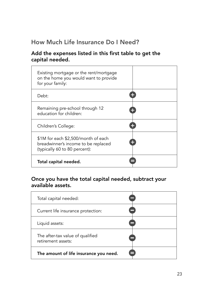## How Much Life Insurance Do I Need?

#### Add the expenses listed in this first table to get the capital needed.

| Existing mortgage or the rent/mortgage<br>on the home you would want to provide<br>for your family:         |    |
|-------------------------------------------------------------------------------------------------------------|----|
| Debt:                                                                                                       |    |
| Remaining pre-school through 12<br>education for children:                                                  | 42 |
| Children's College:                                                                                         |    |
| \$1M for each \$2,500/month of each<br>breadwinner's income to be replaced<br>(typically 60 to 80 percent): | ÷  |
| Total capital needed.                                                                                       |    |

#### Once you have the total capital needed, subtract your available assets.

| Total capital needed:                                  |    |
|--------------------------------------------------------|----|
| Current life insurance protection:                     |    |
| Liquid assets:                                         |    |
| The after-tax value of qualified<br>retirement assets: |    |
| The amount of life insurance you need.                 | ╒╕ |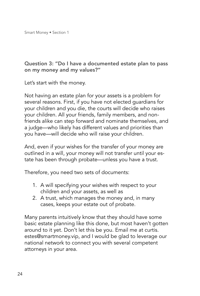#### Question 3: "Do I have a documented estate plan to pass on my money and my values?"

Let's start with the money.

Not having an estate plan for your assets is a problem for several reasons. First, if you have not elected guardians for your children and you die, the courts will decide who raises your children. All your friends, family members, and nonfriends alike can step forward and nominate themselves, and a judge—who likely has different values and priorities than you have—will decide who will raise your children.

And, even if your wishes for the transfer of your money are outlined in a will, your money will not transfer until your estate has been through probate—unless you have a trust.

Therefore, you need two sets of documents:

- 1. A will specifying your wishes with respect to your children and your assets, as well as
- 2. A trust, which manages the money and, in many cases, keeps your estate out of probate.

Many parents intuitively know that they should have some basic estate planning like this done, but most haven't gotten around to it yet. Don't let this be you. Email me at curtis. estes@smartmoney.vip, and I would be glad to leverage our national network to connect you with several competent attorneys in your area.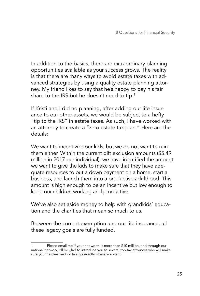In addition to the basics, there are extraordinary planning opportunities available as your success grows. The reality is that there are many ways to avoid estate taxes with advanced strategies by using a quality estate planning attorney. My friend likes to say that he's happy to pay his fair share to the IRS but he doesn't need to tip. $^{\rm 1}$ 

If Kristi and I did no planning, after adding our life insurance to our other assets, we would be subject to a hefty "tip to the IRS" in estate taxes. As such, I have worked with an attorney to create a "zero estate tax plan." Here are the details:

We want to incentivize our kids, but we do not want to ruin them either. Within the current gift exclusion amounts (\$5.49 million in 2017 per individual), we have identified the amount we want to give the kids to make sure that they have adequate resources to put a down payment on a home, start a business, and launch them into a productive adulthood. This amount is high enough to be an incentive but low enough to keep our children working and productive.

We've also set aside money to help with grandkids' education and the charities that mean so much to us.

Between the current exemption and our life insurance, all these legacy goals are fully funded.

Please email me if your net worth is more than \$10 million, and through our national network, I'll be glad to introduce you to several top tax attorneys who will make sure your hard-earned dollars go exactly where you want.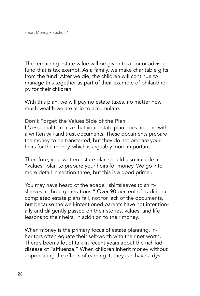The remaining estate value will be given to a donor-advised fund that is tax exempt. As a family, we make charitable gifts from the fund. After we die, the children will continue to manage this together as part of their example of philanthropy for their children.

With this plan, we will pay no estate taxes, no matter how much wealth we are able to accumulate.

Don't Forget the Values Side of the Plan It's essential to realize that your estate plan does not end with a written will and trust documents. These documents prepare the money to be transferred, but they do not prepare your heirs for the money, which is arguably more important.

Therefore, your written estate plan should also include a "values" plan to prepare your heirs for money. We go into more detail in section three, but this is a good primer.

You may have heard of the adage "shirtsleeves to shirtsleeves in three generations." Over 90 percent of traditional completed estate plans fail, not for lack of the documents, but because the well-intentioned parents have not intentionally and diligently passed on their stories, values, and life lessons to their heirs, in addition to their money.

When money is the primary focus of estate planning, inheritors often equate their self-worth with their net worth. There's been a lot of talk in recent years about the rich kid disease of "affluenza." When children inherit money without appreciating the efforts of earning it, they can have a dys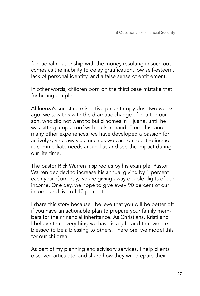functional relationship with the money resulting in such outcomes as the inability to delay gratification, low self-esteem, lack of personal identity, and a false sense of entitlement.

In other words, children born on the third base mistake that for hitting a triple.

Affluenza's surest cure is active philanthropy. Just two weeks ago, we saw this with the dramatic change of heart in our son, who did not want to build homes in Tijuana, until he was sitting atop a roof with nails in hand. From this, and many other experiences, we have developed a passion for actively giving away as much as we can to meet the incredible immediate needs around us and see the impact during our life time.

The pastor Rick Warren inspired us by his example. Pastor Warren decided to increase his annual giving by 1 percent each year. Currently, we are giving away double digits of our income. One day, we hope to give away 90 percent of our income and live off 10 percent.

I share this story because I believe that you will be better off if you have an actionable plan to prepare your family members for their financial inheritance. As Christians, Kristi and I believe that everything we have is a gift, and that we are blessed to be a blessing to others. Therefore, we model this for our children.

As part of my planning and advisory services, I help clients discover, articulate, and share how they will prepare their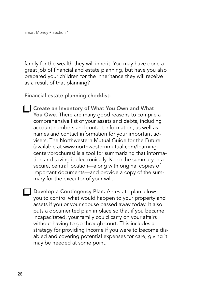family for the wealth they will inherit. You may have done a great job of financial and estate planning, but have you also prepared your children for the inheritance they will receive as a result of that planning?

Financial estate planning checklist:

Create an Inventory of What You Own and What You Owe. There are many good reasons to compile a comprehensive list of your assets and debts, including account numbers and contact information, as well as names and contact information for your important advisers. The Northwestern Mutual Guide for the Future (available at www.northwesternmutual.com/learningcenter/brochures) is a tool for summarizing that information and saving it electronically. Keep the summary in a secure, central location—along with original copies of important documents—and provide a copy of the summary for the executor of your will.

Develop a Contingency Plan. An estate plan allows you to control what would happen to your property and assets if you or your spouse passed away today. It also puts a documented plan in place so that if you became incapacitated, your family could carry on your affairs without having to go through court. This includes a strategy for providing income if you were to become disabled and covering potential expenses for care, giving it may be needed at some point.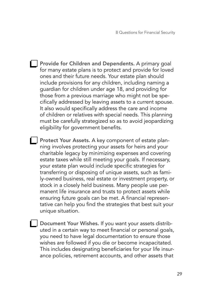- **Provide for Children and Dependents.** A primary goal for many estate plans is to protect and provide for loved ones and their future needs. Your estate plan should include provisions for any children, including naming a guardian for children under age 18, and providing for those from a previous marriage who might not be specifically addressed by leaving assets to a current spouse. It also would specifically address the care and income of children or relatives with special needs. This planning must be carefully strategized so as to avoid jeopardizing eligibility for government benefits.
- **Protect Your Assets.** A key component of estate planning involves protecting your assets for heirs and your charitable legacy by minimizing expenses and covering estate taxes while still meeting your goals. If necessary, your estate plan would include specific strategies for transferring or disposing of unique assets, such as family-owned business, real estate or investment property, or stock in a closely held business. Many people use permanent life insurance and trusts to protect assets while ensuring future goals can be met. A financial representative can help you find the strategies that best suit your unique situation.
- **Document Your Wishes.** If you want your assets distributed in a certain way to meet financial or personal goals, you need to have legal documentation to ensure those wishes are followed if you die or become incapacitated. This includes designating beneficiaries for your life insurance policies, retirement accounts, and other assets that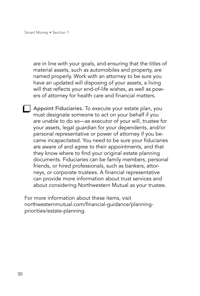are in line with your goals, and ensuring that the titles of material assets, such as automobiles and property, are named properly. Work with an attorney to be sure you have an updated will disposing of your assets, a living will that reflects your end-of-life wishes, as well as powers of attorney for health care and financial matters.

Appoint Fiduciaries. To execute your estate plan, you must designate someone to act on your behalf if you are unable to do so—as executor of your will, trustee for your assets, legal guardian for your dependents, and/or personal representative or power of attorney if you became incapacitated. You need to be sure your fiduciaries are aware of and agree to their appointments, and that they know where to find your original estate planning documents. Fiduciaries can be family members, personal friends, or hired professionals, such as bankers, attorneys, or corporate trustees. A financial representative can provide more information about trust services and about considering Northwestern Mutual as your trustee.

For more information about these items, visit northwesternmutual.com/financial-guidance/planningpriorities/estate-planning.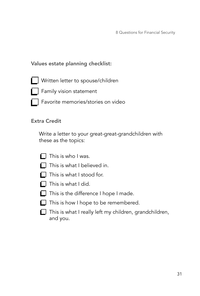8 Questions for Financial Security

#### Values estate planning checklist:

- Written letter to spouse/children
- **Family vision statement**
- Favorite memories/stories on video

#### Extra Credit

Write a letter to your great-great-grandchildren with these as the topics:



- $\Box$  This is what I believed in.
- $\blacksquare$  This is what I stood for.
- $\Box$  This is what I did.
- $\Box$  This is the difference I hope I made.
- $\Box$  This is how I hope to be remembered.
- $\Box$  This is what I really left my children, grandchildren, and you.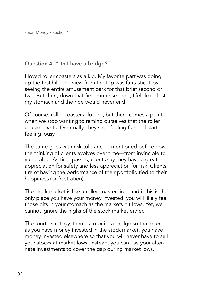#### Question 4: "Do I have a bridge?"

I loved roller coasters as a kid. My favorite part was going up the first hill. The view from the top was fantastic. I loved seeing the entire amusement park for that brief second or two. But then, down that first immense drop, I felt like I lost my stomach and the ride would never end.

Of course, roller coasters do end, but there comes a point when we stop wanting to remind ourselves that the roller coaster exists. Eventually, they stop feeling fun and start feeling lousy.

The same goes with risk tolerance. I mentioned before how the thinking of clients evolves over time—from invincible to vulnerable. As time passes, clients say they have a greater appreciation for safety and less appreciation for risk. Clients tire of having the performance of their portfolio tied to their happiness (or frustration).

The stock market is like a roller coaster ride, and if this is the only place you have your money invested, you will likely feel those pits in your stomach as the markets hit lows. Yet, we cannot ignore the highs of the stock market either.

The fourth strategy, then, is to build a bridge so that even as you have money invested in the stock market, you have money invested elsewhere so that you will never have to sell your stocks at market lows. Instead, you can use your alternate investments to cover the gap during market lows.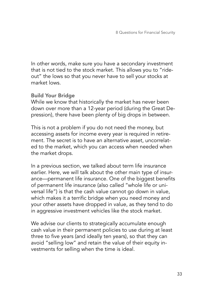In other words, make sure you have a secondary investment that is not tied to the stock market. This allows you to "rideout" the lows so that you never have to sell your stocks at market lows.

#### Build Your Bridge

While we know that historically the market has never been down over more than a 12-year period (during the Great Depression), there have been plenty of big drops in between.

This is not a problem if you do not need the money, but accessing assets for income every year is required in retirement. The secret is to have an alternative asset, uncorrelated to the market, which you can access when needed when the market drops.

In a previous section, we talked about term life insurance earlier. Here, we will talk about the other main type of insurance—permanent life insurance. One of the biggest benefits of permanent life insurance (also called "whole life or universal life") is that the cash value cannot go down in value, which makes it a terrific bridge when you need money and your other assets have dropped in value, as they tend to do in aggressive investment vehicles like the stock market.

We advise our clients to strategically accumulate enough cash value in their permanent policies to use during at least three to five years (and ideally ten years), so that they can avoid "selling low" and retain the value of their equity investments for selling when the time is ideal.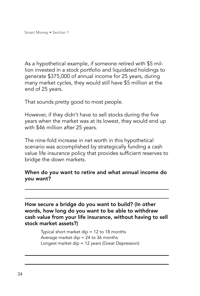As a hypothetical example, if someone retired with \$5 million invested in a stock portfolio and liquidated holdings to generate \$375,000 of annual income for 25 years, during many market cycles, they would still have \$5 million at the end of 25 years.

That sounds pretty good to most people.

However, if they didn't have to sell stocks during the five years when the market was at its lowest, they would end up with \$46 million after 25 years.

The nine-fold increase in net worth in this hypothetical scenario was accomplished by strategically funding a cash value life insurance policy that provides sufficient reserves to bridge the down markets.

#### When do you want to retire and what annual income do you want?

How secure a bridge do you want to build? (In other words, how long do you want to be able to withdraw cash value from your life insurance, without having to sell stock market assets?)

> Typical short market dip = 12 to 18 months Average market dip  $= 24$  to 36 months Longest market dip = 12 years (Great Depression)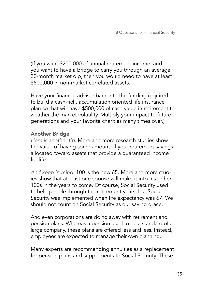(If you want \$200,000 of annual retirement income, and you want to have a bridge to carry you through an average 30-month market dip, then you would need to have at least \$500,000 in non-market correlated assets.

Have your financial advisor back into the funding required to build a cash-rich, accumulation oriented life insurance plan so that will have \$500,000 of cash value in retirement to weather the market volatility. Multiply your impact to future generations and your favorite charities many times over.)

#### Another Bridge

*Here is another tip:* More and more research studies show the value of having some amount of your retirement savings allocated toward assets that provide a guaranteed income for life.

*And keep in mind:* 100 is the new 65. More and more studies show that at least one spouse will make it into his or her 100s in the years to come. Of course, Social Security used to help people through the retirement years, but Social Security was implemented when life expectancy was 67. We should not count on Social Security as our saving grace.

And even corporations are doing away with retirement and pension plans. Whereas a pension used to be a standard of a large company, these plans are offered less and less. Instead, employees are expected to manage their own planning.

Many experts are recommending annuities as a replacement for pension plans and supplements to Social Security. These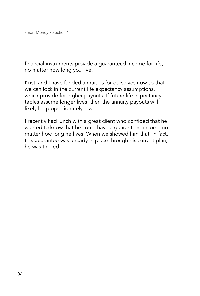financial instruments provide a guaranteed income for life, no matter how long you live.

Kristi and I have funded annuities for ourselves now so that we can lock in the current life expectancy assumptions, which provide for higher payouts. If future life expectancy tables assume longer lives, then the annuity payouts will likely be proportionately lower.

I recently had lunch with a great client who confided that he wanted to know that he could have a guaranteed income no matter how long he lives. When we showed him that, in fact, this guarantee was already in place through his current plan, he was thrilled.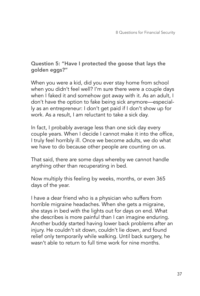#### Question 5: "Have I protected the goose that lays the golden eggs?"

When you were a kid, did you ever stay home from school when you didn't feel well? I'm sure there were a couple days when I faked it and somehow got away with it. As an adult, I don't have the option to fake being sick anymore—especially as an entrepreneur: I don't get paid if I don't show up for work. As a result, I am reluctant to take a sick day.

In fact, I probably average less than one sick day every couple years. When I decide I cannot make it into the office, I truly feel horribly ill. Once we become adults, we do what we have to do because other people are counting on us.

That said, there are some days whereby we cannot handle anything other than recuperating in bed.

Now multiply this feeling by weeks, months, or even 365 days of the year.

I have a dear friend who is a physician who suffers from horrible migraine headaches. When she gets a migraine, she stays in bed with the lights out for days on end. What she describes is more painful than I can imagine enduring. Another buddy started having lower back problems after an injury. He couldn't sit down, couldn't lie down, and found relief only temporarily while walking. Until back surgery, he wasn't able to return to full time work for nine months.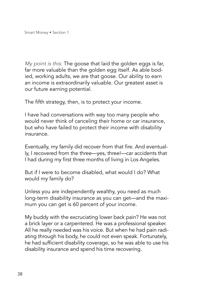*My point is this:* The goose that laid the golden eggs is far, far more valuable than the golden egg itself. As able bodied, working adults, we are that goose. Our ability to earn an income is extraordinarily valuable. Our greatest asset is our future earning potential.

The fifth strategy, then, is to protect your income.

I have had conversations with way too many people who would never think of canceling their home or car insurance, but who have failed to protect their income with disability insurance.

Eventually, my family did recover from that fire. And eventually, I recovered from the three—yes, three!—car accidents that I had during my first three months of living in Los Angeles.

But if I were to become disabled, what would I do? What would my family do?

Unless you are independently wealthy, you need as much long-term disability insurance as you can get—and the maximum you can get is 60 percent of your income.

My buddy with the excruciating lower back pain? He was not a brick layer or a carpentered. He was a professional speaker. All he really needed was his voice. But when he had pain radiating through his body, he could not even speak. Fortunately, he had sufficient disability coverage, so he was able to use his disability insurance and spend his time recovering.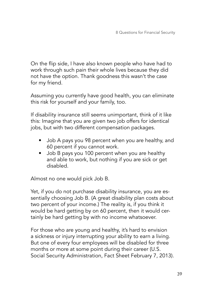On the flip side, I have also known people who have had to work through such pain their whole lives because they did not have the option. Thank goodness this wasn't the case for my friend.

Assuming you currently have good health, you can eliminate this risk for yourself and your family, too.

If disability insurance still seems unimportant, think of it like this: Imagine that you are given two job offers for identical jobs, but with two different compensation packages.

- Job A pays you 98 percent when you are healthy, and 60 percent if you cannot work.
- Job B pays you 100 percent when you are healthy and able to work, but nothing if you are sick or get disabled.

Almost no one would pick Job B.

Yet, if you do not purchase disability insurance, you are essentially choosing Job B. (A great disability plan costs about two percent of your income.) The reality is, if you think it would be hard getting by on 60 percent, then it would certainly be hard getting by with no income whatsoever.

For those who are young and healthy, it's hard to envision a sickness or injury interrupting your ability to earn a living. But one of every four employees will be disabled for three months or more at some point during their career (U.S. Social Security Administration, Fact Sheet February 7, 2013).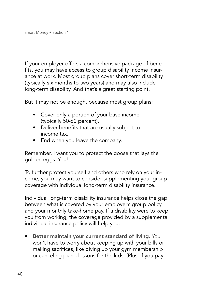If your employer offers a comprehensive package of benefits, you may have access to group disability income insurance at work. Most group plans cover short-term disability (typically six months to two years) and may also include long-term disability. And that's a great starting point.

But it may not be enough, because most group plans:

- Cover only a portion of your base income (typically 50-60 percent).
- Deliver benefits that are usually subject to income tax.
- End when you leave the company.

Remember, I want you to protect the goose that lays the golden eggs: You!

To further protect yourself and others who rely on your income, you may want to consider supplementing your group coverage with individual long-term disability insurance.

Individual long-term disability insurance helps close the gap between what is covered by your employer's group policy and your monthly take-home pay. If a disability were to keep you from working, the coverage provided by a supplemental individual insurance policy will help you:

• Better maintain your current standard of living. You won't have to worry about keeping up with your bills or making sacrifices, like giving up your gym membership or canceling piano lessons for the kids. (Plus, if you pay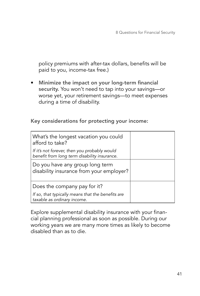policy premiums with after-tax dollars, benefits will be paid to you, income-tax free.)

• Minimize the impact on your long-term financial security. You won't need to tap into your savings—or worse yet, your retirement savings—to meet expenses during a time of disability.

Key considerations for protecting your income:

| What's the longest vacation you could<br>afford to take?                                     |  |
|----------------------------------------------------------------------------------------------|--|
| If it's not forever, then you probably would<br>benefit from long term disability insurance. |  |
| Do you have any group long term<br>disability insurance from your employer?                  |  |
| Does the company pay for it?                                                                 |  |
| If so, that typically means that the benefits are<br>taxable as ordinary income.             |  |

Explore supplemental disability insurance with your financial planning professional as soon as possible. During our working years we are many more times as likely to become disabled than as to die.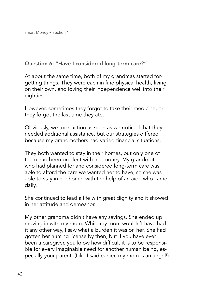#### Question 6: "Have I considered long-term care?"

At about the same time, both of my grandmas started forgetting things. They were each in fine physical health, living on their own, and loving their independence well into their eighties.

However, sometimes they forgot to take their medicine, or they forgot the last time they ate.

Obviously, we took action as soon as we noticed that they needed additional assistance, but our strategies differed because my grandmothers had varied financial situations.

They both wanted to stay in their homes, but only one of them had been prudent with her money. My grandmother who had planned for and considered long-term care was able to afford the care we wanted her to have, so she was able to stay in her home, with the help of an aide who came daily.

She continued to lead a life with great dignity and it showed in her attitude and demeanor.

My other grandma didn't have any savings. She ended up moving in with my mom. While my mom wouldn't have had it any other way, I saw what a burden it was on her. She had gotten her nursing license by then, but if you have ever been a caregiver, you know how difficult it is to be responsible for every imaginable need for another human being, especially your parent. (Like I said earlier, my mom is an angel!)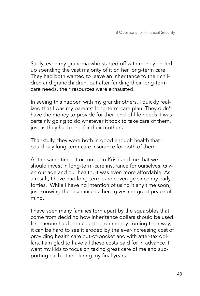Sadly, even my grandma who started off with money ended up spending the vast majority of it on her long-term care. They had both wanted to leave an inheritance to their children and grandchildren, but after funding their long-term care needs, their resources were exhausted.

In seeing this happen with my grandmothers, I quickly realized that I was my parents' long-term-care plan. They didn't have the money to provide for their end-of-life needs. I was certainly going to do whatever it took to take care of them, just as they had done for their mothers.

Thankfully, they were both in good enough health that I could buy long-term-care insurance for both of them.

At the same time, it occurred to Kristi and me that we should invest in long-term-care insurance for ourselves. Given our age and our health, it was even more affordable. As a result, I have had long-term-care coverage since my early forties. While I have no intention of using it any time soon, just knowing the insurance is there gives me great peace of mind.

I have seen many families torn apart by the squabbles that come from deciding how inheritance dollars should be used. If someone has been counting on money coming their way, it can be hard to see it eroded by the ever-increasing cost of providing health care out-of-pocket and with after-tax dollars. I am glad to have all these costs paid for in advance. I want my kids to focus on taking great care of me and supporting each other during my final years.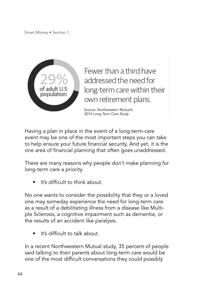

Fewer than a third have addressed the need for long-term care within their own retirement plans.

*Source: Northwestern Mutual's 2014 Long-Term Care Study*

Having a plan in place in the event of a long-term-care event may be one of the most important steps you can take to help ensure your future financial security. And yet, it is the one area of financial planning that often goes unaddressed.

There are many reasons why people don't make planning for long-term care a priority.

It's difficult to think about.

No one wants to consider the possibility that they or a loved one may someday experience the need for long-term care as a result of a debilitating illness from a disease like Multiple Sclerosis, a cognitive impairment such as dementia, or the results of an accident like paralysis.

It's difficult to talk about.

In a recent Northwestern Mutual study, 35 percent of people said talking to their parents about long-term care would be one of the most difficult conversations they could possibly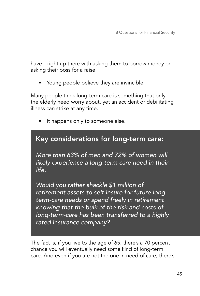have—right up there with asking them to borrow money or asking their boss for a raise.

• Young people believe they are invincible.

Many people think long-term care is something that only the elderly need worry about, yet an accident or debilitating illness can strike at any time.

It happens only to someone else.

## Key considerations for long-term care:

*More than 63% of men and 72% of women will likely experience a long-term care need in their life.*

*Would you rather shackle \$1 million of retirement assets to self-insure for future longterm-care needs or spend freely in retirement knowing that the bulk of the risk and costs of long-term-care has been transferred to a highly rated insurance company?* 

The fact is, if you live to the age of 65, there's a 70 percent chance you will eventually need some kind of long-term care. And even if you are not the one in need of care, there's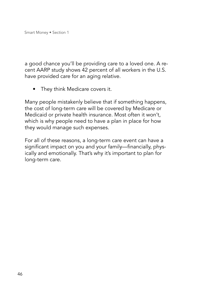a good chance you'll be providing care to a loved one. A recent AARP study shows 42 percent of all workers in the U.S. have provided care for an aging relative.

• They think Medicare covers it.

Many people mistakenly believe that if something happens, the cost of long-term care will be covered by Medicare or Medicaid or private health insurance. Most often it won't, which is why people need to have a plan in place for how they would manage such expenses.

For all of these reasons, a long-term care event can have a significant impact on you and your family—financially, physically and emotionally. That's why it's important to plan for long-term care.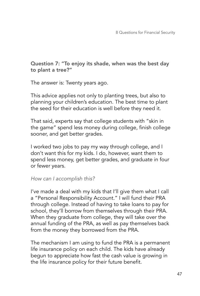Question 7: "To enjoy its shade, when was the best day to plant a tree?"

The answer is: Twenty years ago.

This advice applies not only to planting trees, but also to planning your children's education. The best time to plant the seed for their education is well before they need it.

That said, experts say that college students with "skin in the game" spend less money during college, finish college sooner, and get better grades.

I worked two jobs to pay my way through college, and I don't want this for my kids. I do, however, want them to spend less money, get better grades, and graduate in four or fewer years.

#### *How can I accomplish this?*

I've made a deal with my kids that I'll give them what I call a "Personal Responsibility Account." I will fund their PRA through college. Instead of having to take loans to pay for school, they'll borrow from themselves through their PRA. When they graduate from college, they will take over the annual funding of the PRA, as well as pay themselves back from the money they borrowed from the PRA.

The mechanism I am using to fund the PRA is a permanent life insurance policy on each child. The kids have already begun to appreciate how fast the cash value is growing in the life insurance policy for their future benefit.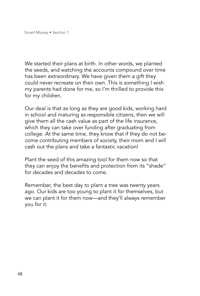We started their plans at birth. In other words, we planted the seeds, and watching the accounts compound over time has been extraordinary. We have given them a gift they could never recreate on their own. This is something I wish my parents had done for me, so I'm thrilled to provide this for my children.

Our deal is that as long as they are good kids, working hard in school and maturing as responsible citizens, then we will give them all the cash value as part of the life insurance, which they can take over funding after graduating from college. At the same time, they know that if they do not become contributing members of society, their mom and I will cash out the plans and take a fantastic vacation!

Plant the seed of this amazing tool for them now so that they can enjoy the benefits and protection from its "shade" for decades and decades to come.

Remember, the best day to plant a tree was twenty years ago. Our kids are too young to plant it for themselves, but we can plant it for them now—and they'll always remember you for it.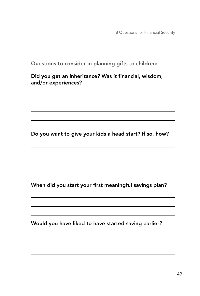8 Questions for Financial Security

Questions to consider in planning gifts to children:

Did you get an inheritance? Was it financial, wisdom, and/or experiences?

Do you want to give your kids a head start? If so, how?

When did you start your first meaningful savings plan?

and the control of the control of the control of the control of the control of the control of the control of the

Would you have liked to have started saving earlier?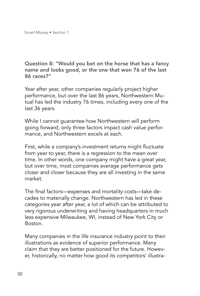Question 8: "Would you bet on the horse that has a fancy name and looks good, or the one that won 76 of the last 86 races?"

Year after year, other companies regularly project higher performance, but over the last 86 years, Northwestern Mutual has led the industry 76 times, including every one of the last 36 years.

While I cannot guarantee how Northwestern will perform going forward, only three factors impact cash value performance, and Northwestern excels at each.

First, while a company's investment returns might fluctuate from year to year, there is a regression to the mean over time. In other words, one company might have a great year, but over time, most companies average performance gets closer and closer because they are all investing in the same market.

The final factors—expenses and mortality costs—take decades to materially change. Northwestern has led in these categories year after year, a lot of which can be attributed to very rigorous underwriting and having headquarters in much less expensive Milwaukee, WI, instead of New York City or Boston.

Many companies in the life insurance industry point to their illustrations as evidence of superior performance. Many claim that they are better positioned for the future. However, historically, no matter how good its competitors' illustra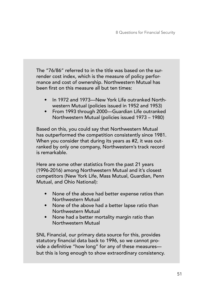The "76/86" referred to in the title was based on the surrender cost index, which is the measure of policy performance and cost of ownership. Northwestern Mutual has been first on this measure all but ten times:

- In 1972 and 1973—New York Life outranked Northwestern Mutual (policies issued in 1952 and 1953)
- From 1993 through 2000—Guardian Life outranked Northwestern Mutual (policies issued 1973 – 1980)

Based on this, you could say that Northwestern Mutual has outperformed the competition consistently since 1981. When you consider that during its years as #2, it was outranked by only one company, Northwestern's track record is remarkable.

Here are some other statistics from the past 21 years (1996-2016) among Northwestern Mutual and it's closest competitors (New York Life, Mass Mutual, Guardian, Penn Mutual, and Ohio National):

- None of the above had better expense ratios than Northwestern Mutual
- None of the above had a better lapse ratio than Northwestern Mutual
- None had a better mortality margin ratio than Northwestern Mutual

SNL Financial, our primary data source for this, provides statutory financial data back to 1996, so we cannot provide a definitive "how long" for any of these measures but this is long enough to show extraordinary consistency.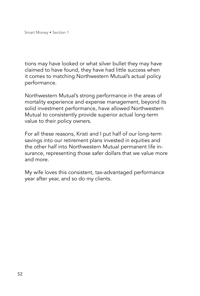tions may have looked or what silver bullet they may have claimed to have found, they have had little success when it comes to matching Northwestern Mutual's actual policy performance.

Northwestern Mutual's strong performance in the areas of mortality experience and expense management, beyond its solid investment performance, have allowed Northwestern Mutual to consistently provide superior actual long-term value to their policy owners.

For all these reasons, Kristi and I put half of our long-term savings into our retirement plans invested in equities and the other half into Northwestern Mutual permanent life insurance, representing those safer dollars that we value more and more.

My wife loves this consistent, tax-advantaged performance year after year, and so do my clients.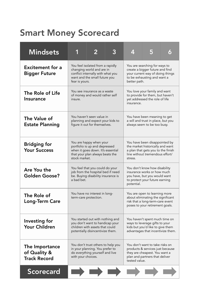# Smart Money Scorecard

| <b>Mindsets</b>                                       | 1                                                                                                                                                                                                                                                                                         | $\overline{2}$                                                                                 | 3 | Æ                                                                                                                                                     | 5 |  |
|-------------------------------------------------------|-------------------------------------------------------------------------------------------------------------------------------------------------------------------------------------------------------------------------------------------------------------------------------------------|------------------------------------------------------------------------------------------------|---|-------------------------------------------------------------------------------------------------------------------------------------------------------|---|--|
| <b>Excitement for a</b><br><b>Bigger Future</b>       | You feel isolated from a rapidly<br>changing world and are in<br>conflict internally with what you<br>want and the small future you<br>fear is yours.                                                                                                                                     |                                                                                                |   | You are searching for ways to<br>create a bigger future and find<br>your current way of doing things<br>to be exhausting and want a<br>better path.   |   |  |
| The Role of Life<br>Insurance                         | You see insurance as a waste<br>of money and would rather self<br>insure.                                                                                                                                                                                                                 |                                                                                                |   | You love your family and want<br>to provide for them, but haven't<br>yet addressed the role of life<br>insurance.                                     |   |  |
| The Value of<br><b>Estate Planning</b>                |                                                                                                                                                                                                                                                                                           | You haven't seen value in<br>planning and expect your kids to<br>figure it out for themselves. |   | You have been meaning to get<br>a will and trust in place, but you<br>always seem to be too busy.                                                     |   |  |
| <b>Bridging for</b><br><b>Your Success</b>            | You are happy when your<br>portfolio is up and depressed<br>when it goes down. It's essential<br>that your plan always beats the<br>stock market.                                                                                                                                         |                                                                                                |   | You have been disappointed by<br>the market historically and want<br>a plan that gets you to the finish<br>line without tremendous effort/<br>stress. |   |  |
| Are You the<br>Golden Goose?                          | You feel that you could do your<br>You don't know how disability<br>job from the hospital bed if need<br>insurance works or how much<br>be. Buying disability insurance is<br>you have, but you would want<br>a bad bet.<br>to protect your future earning<br>potential.                  |                                                                                                |   |                                                                                                                                                       |   |  |
| The Role of<br><b>Long-Term Care</b>                  | You have no interest in long-<br>term-care protection.                                                                                                                                                                                                                                    |                                                                                                |   | You are open to learning more<br>about eliminating the significant<br>risk that a long-term-care event<br>poses to your retirement goals.             |   |  |
| Investing for<br><b>Your Children</b>                 | You started out with nothing and<br>you don't want to handicap your<br>children with assets that could<br>potentially disincentivize them.                                                                                                                                                |                                                                                                |   | You haven't spent much time on<br>ways to leverage gifts to your<br>kids but you'd like to give them<br>advantages that incentivize them.             |   |  |
| The Importance<br>of Quality &<br><b>Track Record</b> | You don't want to take risks on<br>You don't trust others to help you<br>in your planning. You prefer to<br>products & services just because<br>do everything yourself and live<br>they are cheapest. You want a<br>plan and partners that deliver<br>with your choices.<br>tested value. |                                                                                                |   |                                                                                                                                                       |   |  |
| <b>Scorecard</b>                                      |                                                                                                                                                                                                                                                                                           |                                                                                                |   |                                                                                                                                                       |   |  |